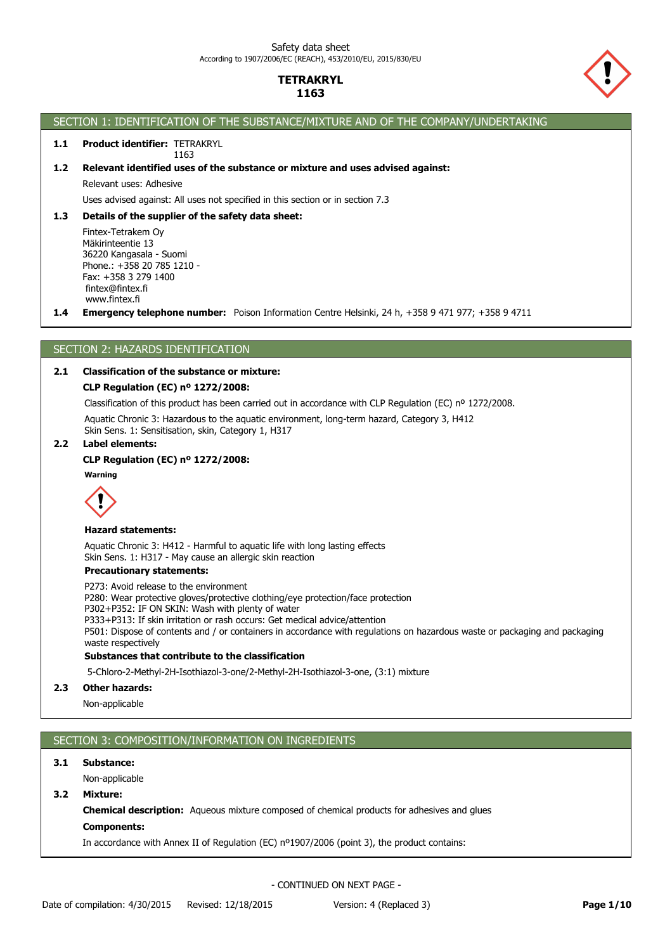

## SECTION 1: IDENTIFICATION OF THE SUBSTANCE/MIXTURE AND OF THE COMPANY/UNDERTAKING

#### 1.1 **Product identifier: TETRAKRYL** 1163

## **1.2 Relevant identified uses of the substance or mixture and uses advised against:**

Relevant uses: Adhesive

Uses advised against: All uses not specified in this section or in section 7.3

#### **1.3 Details of the supplier of the safety data sheet:**

Fintex-Tetrakem Oy Mäkirinteentie 13 36220 Kangasala - Suomi Phone.: +358 20 785 1210 - Fax: +358 3 279 1400 fintex@fintex.fi www.fintex.fi

**1.4 Emergency telephone number:** Poison Information Centre Helsinki, 24 h, +358 9 471 977; +358 9 4711

### SECTION 2: HAZARDS IDENTIFICATION

### **2.1 Classification of the substance or mixture:**

#### **CLP Regulation (EC) nº 1272/2008:**

Classification of this product has been carried out in accordance with CLP Regulation (EC) nº 1272/2008.

Aquatic Chronic 3: Hazardous to the aquatic environment, long-term hazard, Category 3, H412 Skin Sens. 1: Sensitisation, skin, Category 1, H317

#### **2.2 Label elements:**

### **CLP Regulation (EC) nº 1272/2008:**



#### **Hazard statements:**

Aquatic Chronic 3: H412 - Harmful to aquatic life with long lasting effects Skin Sens. 1: H317 - May cause an allergic skin reaction

### **Precautionary statements:**

**Substances that contribute to the classification** P273: Avoid release to the environment P280: Wear protective gloves/protective clothing/eye protection/face protection P302+P352: IF ON SKIN: Wash with plenty of water P333+P313: If skin irritation or rash occurs: Get medical advice/attention P501: Dispose of contents and / or containers in accordance with regulations on hazardous waste or packaging and packaging waste respectively

5-Chloro-2-Methyl-2H-Isothiazol-3-one/2-Methyl-2H-Isothiazol-3-one, (3:1) mixture

## **2.3 Other hazards:**

Non-applicable

## SECTION 3: COMPOSITION/INFORMATION ON INGREDIENTS

### **3.1 Substance:**

Non-applicable

**3.2 Mixture:**

**Chemical description:** Aqueous mixture composed of chemical products for adhesives and glues

**Components:**

In accordance with Annex II of Regulation (EC) nº1907/2006 (point 3), the product contains: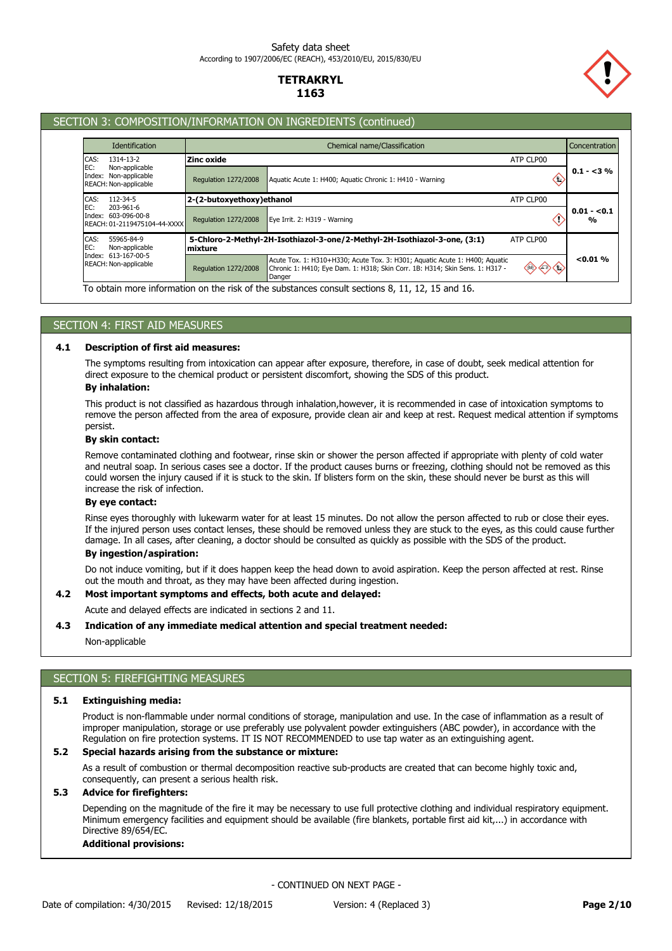

## SECTION 3: COMPOSITION/INFORMATION ON INGREDIENTS (continued)

| Chemical name/Classification<br>Concentration |           |                                                                                                                                                                                                                                                                                                                                                                             |  |
|-----------------------------------------------|-----------|-----------------------------------------------------------------------------------------------------------------------------------------------------------------------------------------------------------------------------------------------------------------------------------------------------------------------------------------------------------------------------|--|
| Zinc oxide                                    | ATP CLP00 |                                                                                                                                                                                                                                                                                                                                                                             |  |
| <b>Regulation 1272/2008</b>                   | €         | $0.1 - 3\%$                                                                                                                                                                                                                                                                                                                                                                 |  |
|                                               | ATP CLP00 |                                                                                                                                                                                                                                                                                                                                                                             |  |
| <b>Regulation 1272/2008</b>                   |           | $0.01 - 0.1$<br>$\frac{0}{0}$                                                                                                                                                                                                                                                                                                                                               |  |
| mixture                                       | ATP CLP00 |                                                                                                                                                                                                                                                                                                                                                                             |  |
| <b>Regulation 1272/2008</b>                   |           | < 0.01 %                                                                                                                                                                                                                                                                                                                                                                    |  |
|                                               |           | Aquatic Acute 1: H400; Aquatic Chronic 1: H410 - Warning<br>2-(2-butoxyethoxy)ethanol<br>Eye Irrit. 2: H319 - Warning<br>5-Chloro-2-Methyl-2H-Isothiazol-3-one/2-Methyl-2H-Isothiazol-3-one, (3:1)<br>Acute Tox. 1: H310+H330; Acute Tox. 3: H301; Aquatic Acute 1: H400; Aquatic<br>Chronic 1: H410; Eye Dam. 1: H318; Skin Corr. 1B: H314; Skin Sens. 1: H317 -<br>Danger |  |

## SECTION 4: FIRST AID MEASURES

#### **4.1 Description of first aid measures:**

The symptoms resulting from intoxication can appear after exposure, therefore, in case of doubt, seek medical attention for direct exposure to the chemical product or persistent discomfort, showing the SDS of this product.

## **By inhalation:**

This product is not classified as hazardous through inhalation,however, it is recommended in case of intoxication symptoms to remove the person affected from the area of exposure, provide clean air and keep at rest. Request medical attention if symptoms persist.

## **By skin contact:**

Remove contaminated clothing and footwear, rinse skin or shower the person affected if appropriate with plenty of cold water and neutral soap. In serious cases see a doctor. If the product causes burns or freezing, clothing should not be removed as this could worsen the injury caused if it is stuck to the skin. If blisters form on the skin, these should never be burst as this will increase the risk of infection.

## **By eye contact:**

Rinse eyes thoroughly with lukewarm water for at least 15 minutes. Do not allow the person affected to rub or close their eyes. If the injured person uses contact lenses, these should be removed unless they are stuck to the eyes, as this could cause further damage. In all cases, after cleaning, a doctor should be consulted as quickly as possible with the SDS of the product.

### **By ingestion/aspiration:**

Do not induce vomiting, but if it does happen keep the head down to avoid aspiration. Keep the person affected at rest. Rinse out the mouth and throat, as they may have been affected during ingestion.

# **4.2 Most important symptoms and effects, both acute and delayed:**

Acute and delayed effects are indicated in sections 2 and 11.

#### **4.3 Indication of any immediate medical attention and special treatment needed:**

Non-applicable

## SECTION 5: FIREFIGHTING MEASURES

#### **5.1 Extinguishing media:**

Product is non-flammable under normal conditions of storage, manipulation and use. In the case of inflammation as a result of improper manipulation, storage or use preferably use polyvalent powder extinguishers (ABC powder), in accordance with the Regulation on fire protection systems. IT IS NOT RECOMMENDED to use tap water as an extinguishing agent.

## **5.2 Special hazards arising from the substance or mixture:**

As a result of combustion or thermal decomposition reactive sub-products are created that can become highly toxic and, consequently, can present a serious health risk.

### **5.3 Advice for firefighters:**

Depending on the magnitude of the fire it may be necessary to use full protective clothing and individual respiratory equipment. Minimum emergency facilities and equipment should be available (fire blankets, portable first aid kit,...) in accordance with Directive 89/654/EC.

### **Additional provisions:**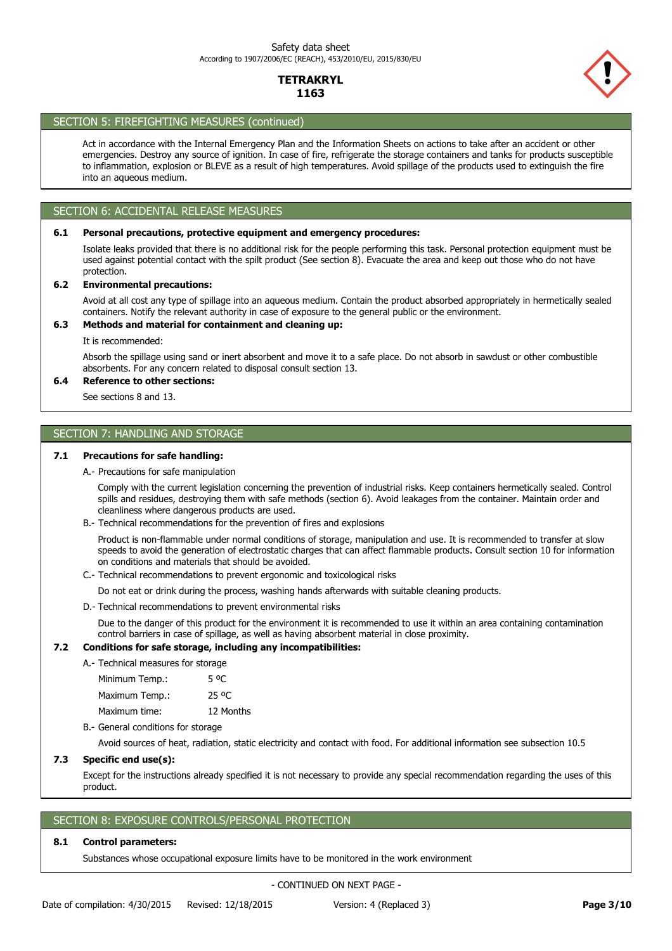

## SECTION 5: FIREFIGHTING MEASURES (continued)

Act in accordance with the Internal Emergency Plan and the Information Sheets on actions to take after an accident or other emergencies. Destroy any source of ignition. In case of fire, refrigerate the storage containers and tanks for products susceptible to inflammation, explosion or BLEVE as a result of high temperatures. Avoid spillage of the products used to extinguish the fire into an aqueous medium.

## SECTION 6: ACCIDENTAL RELEASE MEASURES

### **6.1 Personal precautions, protective equipment and emergency procedures:**

Isolate leaks provided that there is no additional risk for the people performing this task. Personal protection equipment must be used against potential contact with the spilt product (See section 8). Evacuate the area and keep out those who do not have protection.

### **6.2 Environmental precautions:**

Avoid at all cost any type of spillage into an aqueous medium. Contain the product absorbed appropriately in hermetically sealed containers. Notify the relevant authority in case of exposure to the general public or the environment.

### **6.3 Methods and material for containment and cleaning up:**

It is recommended:

Absorb the spillage using sand or inert absorbent and move it to a safe place. Do not absorb in sawdust or other combustible absorbents. For any concern related to disposal consult section 13.

## **6.4 Reference to other sections:**

See sections 8 and 13.

## SECTION 7: HANDLING AND STORAGE

### **7.1 Precautions for safe handling:**

A.- Precautions for safe manipulation

Comply with the current legislation concerning the prevention of industrial risks. Keep containers hermetically sealed. Control spills and residues, destroying them with safe methods (section 6). Avoid leakages from the container. Maintain order and cleanliness where dangerous products are used.

B.- Technical recommendations for the prevention of fires and explosions

Product is non-flammable under normal conditions of storage, manipulation and use. It is recommended to transfer at slow speeds to avoid the generation of electrostatic charges that can affect flammable products. Consult section 10 for information on conditions and materials that should be avoided.

C.- Technical recommendations to prevent ergonomic and toxicological risks

Do not eat or drink during the process, washing hands afterwards with suitable cleaning products.

D.- Technical recommendations to prevent environmental risks

Due to the danger of this product for the environment it is recommended to use it within an area containing contamination control barriers in case of spillage, as well as having absorbent material in close proximity.

### **7.2 Conditions for safe storage, including any incompatibilities:**

A.- Technical measures for storage

| Minimum Temp.: | 5 °C      |
|----------------|-----------|
| Maximum Temp.: | 25 °C     |
| Maximum time:  | 12 Months |

B.- General conditions for storage

Avoid sources of heat, radiation, static electricity and contact with food. For additional information see subsection 10.5

### **7.3 Specific end use(s):**

Except for the instructions already specified it is not necessary to provide any special recommendation regarding the uses of this product.

## SECTION 8: EXPOSURE CONTROLS/PERSONAL PROTECTION

#### **8.1 Control parameters:**

Substances whose occupational exposure limits have to be monitored in the work environment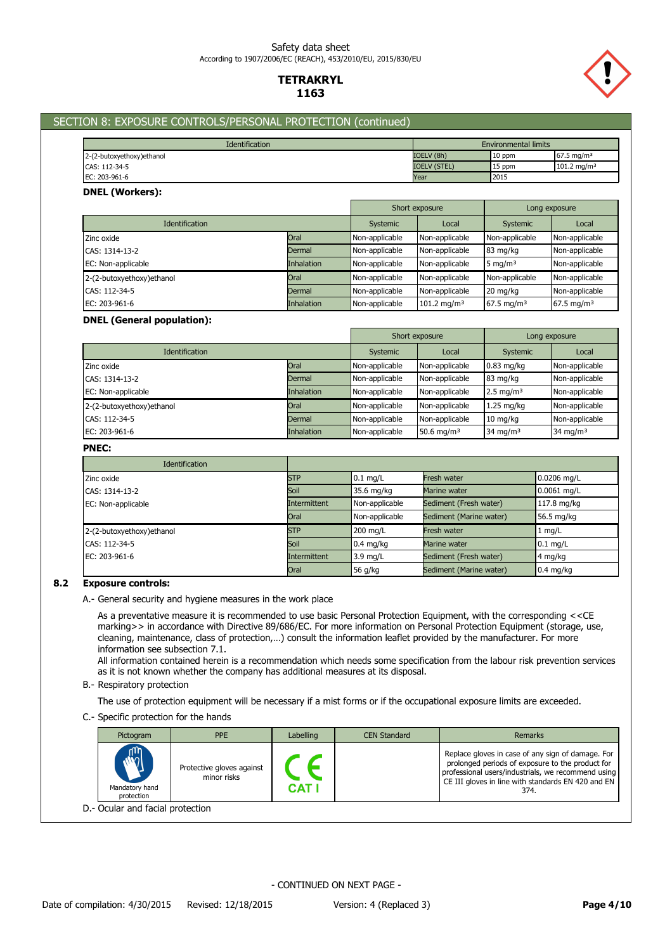### Safety data sheet According to 1907/2006/EC (REACH), 453/2010/EU, 2015/830/EU

## **TETRAKRYL 1163**



## SECTION 8: EXPOSURE CONTROLS/PERSONAL PROTECTION (continued)

| <b>Environmental limits</b><br><b>Identification</b> |                     |        |                        |
|------------------------------------------------------|---------------------|--------|------------------------|
| 2-(2-butoxyethoxy)ethanol                            | IOELV (8h)          | 10 ppm | $67.5 \text{ ma/m}^3$  |
| CAS: 112-34-5                                        | <b>IOELV (STEL)</b> | 15 ppm | $101.2 \text{ ma/m}^3$ |
| EC: 203-961-6                                        | Year                | 2015   |                        |

### **DNEL (Workers):**

|                            |                   |                | Short exposure          | Long exposure          |                       |
|----------------------------|-------------------|----------------|-------------------------|------------------------|-----------------------|
| <b>Identification</b>      | Systemic          | Local          | Systemic                | Local                  |                       |
| Zinc oxide                 | Oral              | Non-applicable | Non-applicable          | Non-applicable         | Non-applicable        |
| CAS: 1314-13-2             | Dermal            | Non-applicable | Non-applicable          | 83 mg/kg               | Non-applicable        |
| EC: Non-applicable         | <b>Inhalation</b> | Non-applicable | Non-applicable          | 5 mg/m $3$             | Non-applicable        |
| 2-(2-butoxyethoxy) ethanol | Oral              | Non-applicable | Non-applicable          | Non-applicable         | Non-applicable        |
| CAS: 112-34-5              | Dermal            | Non-applicable | Non-applicable          | 20 mg/kg               | Non-applicable        |
| EC: 203-961-6              | <b>Inhalation</b> | Non-applicable | 101.2 mg/m <sup>3</sup> | 67.5 mg/m <sup>3</sup> | $67.5 \text{ mg/m}^3$ |

### **DNEL (General population):**

|                            |                   | Short exposure |                        | Long exposure        |                |
|----------------------------|-------------------|----------------|------------------------|----------------------|----------------|
| <b>Identification</b>      |                   | Systemic       | Local                  | Systemic             | Local          |
| Zinc oxide                 | Oral              | Non-applicable | Non-applicable         | $0.83$ mg/kg         | Non-applicable |
| CAS: 1314-13-2             | Dermal            | Non-applicable | Non-applicable         | 83 mg/kg             | Non-applicable |
| EC: Non-applicable         | <b>Inhalation</b> | Non-applicable | Non-applicable         | $2.5 \text{ mg/m}^3$ | Non-applicable |
| 2-(2-butoxyethoxy) ethanol | Oral              | Non-applicable | Non-applicable         | $1.25$ mg/kg         | Non-applicable |
| CAS: 112-34-5              | Dermal            | Non-applicable | Non-applicable         | $10 \text{ mg/kg}$   | Non-applicable |
| EC: 203-961-6              | <b>Inhalation</b> | Non-applicable | 50.6 mg/m <sup>3</sup> | 34 mg/m <sup>3</sup> | 34 mg/m $3$    |

### **PNEC:**

| <b>Identification</b>     |              |                |                         |               |
|---------------------------|--------------|----------------|-------------------------|---------------|
| Zinc oxide                | <b>STP</b>   | $0.1$ mg/L     | Fresh water             | 0.0206 mg/L   |
| CAS: 1314-13-2            | Soil         | 35.6 mg/kg     | Marine water            | $0.0061$ mg/L |
| EC: Non-applicable        | Intermittent | Non-applicable | Sediment (Fresh water)  | 117.8 mg/kg   |
|                           | Oral         | Non-applicable | Sediment (Marine water) | 56.5 mg/kg    |
| 2-(2-butoxyethoxy)ethanol | <b>STP</b>   | 200 mg/L       | Fresh water             | $1$ mg/L      |
| CAS: 112-34-5             | Soil         | $0.4$ mg/kg    | Marine water            | $0.1$ mg/L    |
| EC: 203-961-6             | Intermittent | 3.9 mg/L       | Sediment (Fresh water)  | 4 mg/kg       |
|                           | Oral         | 56 g/kg        | Sediment (Marine water) | $0.4$ mg/kg   |

### **8.2 Exposure controls:**

A.- General security and hygiene measures in the work place

As a preventative measure it is recommended to use basic Personal Protection Equipment, with the corresponding <<CE marking>> in accordance with Directive 89/686/EC. For more information on Personal Protection Equipment (storage, use, cleaning, maintenance, class of protection,…) consult the information leaflet provided by the manufacturer. For more information see subsection 7.1.

All information contained herein is a recommendation which needs some specification from the labour risk prevention services as it is not known whether the company has additional measures at its disposal.

B.- Respiratory protection

The use of protection equipment will be necessary if a mist forms or if the occupational exposure limits are exceeded.

C.- Specific protection for the hands

| Pictogram                                    | <b>PPE</b>                               | Labelling  | <b>CEN Standard</b> | Remarks                                                                                                                                                                                                                   |  |  |
|----------------------------------------------|------------------------------------------|------------|---------------------|---------------------------------------------------------------------------------------------------------------------------------------------------------------------------------------------------------------------------|--|--|
| $\mathbb{C}$<br>Mandatory hand<br>protection | Protective gloves against<br>minor risks | <b>CAT</b> |                     | Replace gloves in case of any sign of damage. For<br>prolonged periods of exposure to the product for<br>professional users/industrials, we recommend using<br>CE III gloves in line with standards EN 420 and EN<br>374. |  |  |
| D.- Ocular and facial protection             |                                          |            |                     |                                                                                                                                                                                                                           |  |  |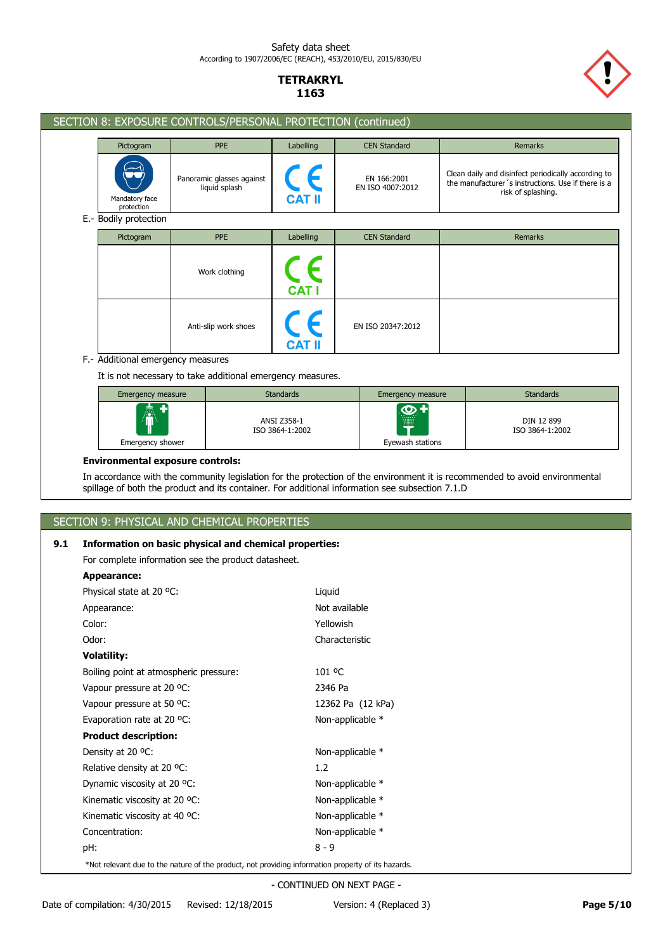

| SECTION 8: EXPOSURE CONTROLS/PERSONAL PROTECTION (continued) |                                            |                                            |                                 |                                                                                                                                 |
|--------------------------------------------------------------|--------------------------------------------|--------------------------------------------|---------------------------------|---------------------------------------------------------------------------------------------------------------------------------|
| Pictogram                                                    | <b>PPE</b>                                 | Labelling                                  | <b>CEN Standard</b>             | Remarks                                                                                                                         |
| Mandatory face<br>protection                                 | Panoramic glasses against<br>liquid splash | $\mathsf{C}_{\mathsf{CAT} \, \mathsf{II}}$ | EN 166:2001<br>EN ISO 4007:2012 | Clean daily and disinfect periodically according to<br>the manufacturer's instructions. Use if there is a<br>risk of splashing. |
| E.- Bodily protection                                        |                                            |                                            |                                 |                                                                                                                                 |
| Pictogram                                                    | <b>PPE</b>                                 | Labelling                                  | <b>CEN Standard</b>             | Remarks                                                                                                                         |
|                                                              | Work clothing                              | CE<br><b>CAT I</b>                         |                                 |                                                                                                                                 |
|                                                              | Anti-slip work shoes                       | CE<br><b>CAT II</b>                        | EN ISO 20347:2012               |                                                                                                                                 |
| F.- Additional emergency measures                            |                                            |                                            |                                 |                                                                                                                                 |
| It is not necessary to take additional emergency measures.   |                                            |                                            |                                 |                                                                                                                                 |
| <b>Emergency measure</b>                                     |                                            | <b>Standards</b>                           | <b>Emergency measure</b>        | <b>Standards</b>                                                                                                                |
| Emergency shower                                             |                                            | ANSI Z358-1<br>ISO 3864-1:2002             | O<br>Eyewash stations           | DIN 12 899<br>ISO 3864-1:2002                                                                                                   |

## **Environmental exposure controls:**

In accordance with the community legislation for the protection of the environment it is recommended to avoid environmental spillage of both the product and its container. For additional information see subsection 7.1.D

# SECTION 9: PHYSICAL AND CHEMICAL PROPERTIES

## **9.1 Information on basic physical and chemical properties:**

For complete information see the product datasheet.

| Appearance:                                                                                        |                   |
|----------------------------------------------------------------------------------------------------|-------------------|
| Physical state at 20 °C:                                                                           | Liquid            |
| Appearance:                                                                                        | Not available     |
| Color:                                                                                             | Yellowish         |
| Odor:                                                                                              | Characteristic    |
| <b>Volatility:</b>                                                                                 |                   |
| Boiling point at atmospheric pressure:                                                             | 101 °C            |
| Vapour pressure at 20 °C:                                                                          | 2346 Pa           |
| Vapour pressure at 50 °C:                                                                          | 12362 Pa (12 kPa) |
| Evaporation rate at 20 °C:                                                                         | Non-applicable *  |
| <b>Product description:</b>                                                                        |                   |
| Density at 20 °C:                                                                                  | Non-applicable *  |
| Relative density at 20 °C:                                                                         | 1.2               |
| Dynamic viscosity at 20 °C:                                                                        | Non-applicable *  |
| Kinematic viscosity at 20 °C:                                                                      | Non-applicable *  |
| Kinematic viscosity at 40 °C:                                                                      | Non-applicable *  |
| Concentration:                                                                                     | Non-applicable *  |
| pH:                                                                                                | $8 - 9$           |
| *Not relevant due to the nature of the product, not providing information property of its hazards. |                   |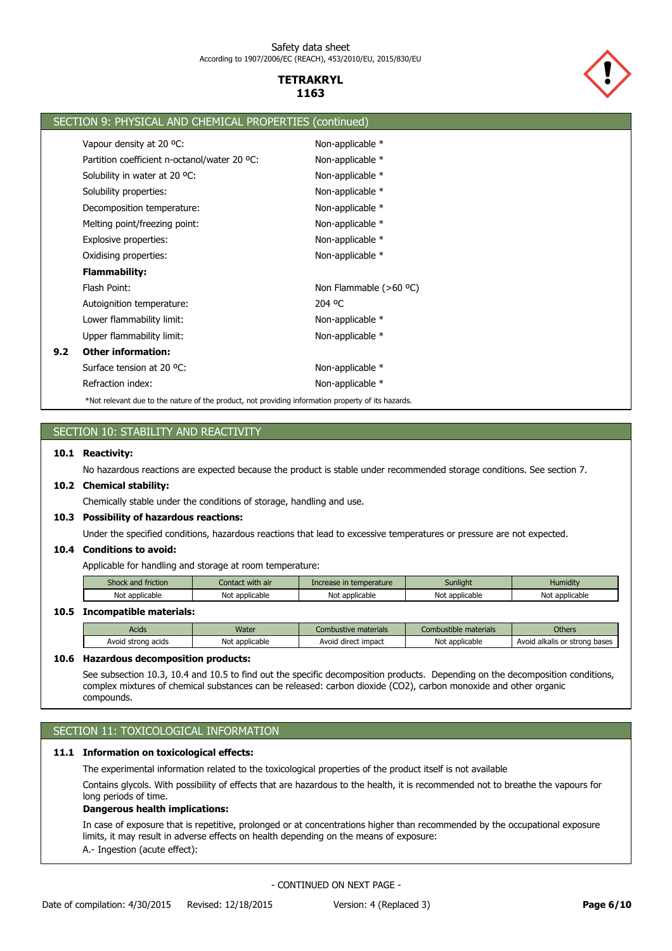

|     | SECTION 9: PHYSICAL AND CHEMICAL PROPERTIES (continued)                                            |                          |
|-----|----------------------------------------------------------------------------------------------------|--------------------------|
|     | Vapour density at 20 °C:                                                                           | Non-applicable *         |
|     | Partition coefficient n-octanol/water 20 °C:                                                       | Non-applicable *         |
|     | Solubility in water at 20 °C:                                                                      | Non-applicable *         |
|     | Solubility properties:                                                                             | Non-applicable *         |
|     | Decomposition temperature:                                                                         | Non-applicable *         |
|     | Melting point/freezing point:                                                                      | Non-applicable *         |
|     | Explosive properties:                                                                              | Non-applicable *         |
|     | Oxidising properties:                                                                              | Non-applicable *         |
|     | <b>Flammability:</b>                                                                               |                          |
|     | Flash Point:                                                                                       | Non Flammable $(>60$ °C) |
|     | Autoignition temperature:                                                                          | 204 °C                   |
|     | Lower flammability limit:                                                                          | Non-applicable $*$       |
|     | Upper flammability limit:                                                                          | Non-applicable *         |
| 9.2 | <b>Other information:</b>                                                                          |                          |
|     | Surface tension at 20 °C:                                                                          | Non-applicable *         |
|     | Refraction index:                                                                                  | Non-applicable *         |
|     | *Not relevant due to the nature of the product, not providing information property of its hazards. |                          |

# SECTION 10: STABILITY AND REACTIVITY

### **10.1 Reactivity:**

No hazardous reactions are expected because the product is stable under recommended storage conditions. See section 7.

### **10.2 Chemical stability:**

Chemically stable under the conditions of storage, handling and use.

### **10.3 Possibility of hazardous reactions:**

Under the specified conditions, hazardous reactions that lead to excessive temperatures or pressure are not expected.

## **10.4 Conditions to avoid:**

Applicable for handling and storage at room temperature:

| $\sim$<br>friction<br><b>SHOCK</b> | with air<br>contact | mperature<br>w | Sunliaht     | .<br>Humidity           |
|------------------------------------|---------------------|----------------|--------------|-------------------------|
| Not                                | Not                 | Not            | t applicable | <sup>.</sup> applicable |
| : applicable                       | * applicable        | applicable     | Not          | Not                     |

### **10.5 Incompatible materials:**

| Acids              | Water               | Combustive materials | Combustible materials | <b>Others</b>                 |
|--------------------|---------------------|----------------------|-----------------------|-------------------------------|
| Avoid strong acids | t applicable<br>Not | Avoid direct impact  | Not applicable        | Avoid alkalis or strong bases |

## **10.6 Hazardous decomposition products:**

See subsection 10.3, 10.4 and 10.5 to find out the specific decomposition products. Depending on the decomposition conditions, complex mixtures of chemical substances can be released: carbon dioxide (CO2), carbon monoxide and other organic compounds.

## SECTION 11: TOXICOLOGICAL INFORMATION

## **11.1 Information on toxicological effects:**

The experimental information related to the toxicological properties of the product itself is not available

Contains glycols. With possibility of effects that are hazardous to the health, it is recommended not to breathe the vapours for long periods of time.

## **Dangerous health implications:**

A.- Ingestion (acute effect): In case of exposure that is repetitive, prolonged or at concentrations higher than recommended by the occupational exposure limits, it may result in adverse effects on health depending on the means of exposure: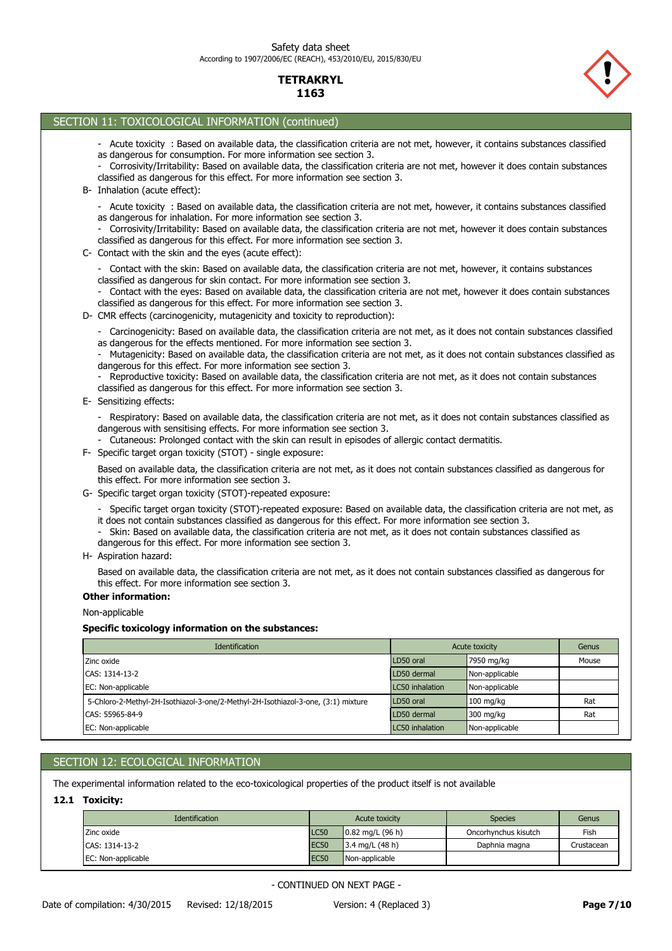

| SECTION 11: TOXICOLOGICAL INFORMATION (continued)                                                                                                                                                                                                                                                                                                                                                                                                                                                                                                                                                                                                                |                 |                       |       |
|------------------------------------------------------------------------------------------------------------------------------------------------------------------------------------------------------------------------------------------------------------------------------------------------------------------------------------------------------------------------------------------------------------------------------------------------------------------------------------------------------------------------------------------------------------------------------------------------------------------------------------------------------------------|-----------------|-----------------------|-------|
| - Acute toxicity : Based on available data, the classification criteria are not met, however, it contains substances classified<br>as dangerous for consumption. For more information see section 3.<br>- Corrosivity/Irritability: Based on available data, the classification criteria are not met, however it does contain substances<br>classified as dangerous for this effect. For more information see section 3.<br>B- Inhalation (acute effect):                                                                                                                                                                                                        |                 |                       |       |
| - Acute toxicity : Based on available data, the classification criteria are not met, however, it contains substances classified<br>as dangerous for inhalation. For more information see section 3.<br>- Corrosivity/Irritability: Based on available data, the classification criteria are not met, however it does contain substances<br>classified as dangerous for this effect. For more information see section 3.<br>C- Contact with the skin and the eyes (acute effect):                                                                                                                                                                                 |                 |                       |       |
| - Contact with the skin: Based on available data, the classification criteria are not met, however, it contains substances<br>classified as dangerous for skin contact. For more information see section 3.<br>- Contact with the eyes: Based on available data, the classification criteria are not met, however it does contain substances<br>classified as dangerous for this effect. For more information see section 3.<br>D- CMR effects (carcinogenicity, mutagenicity and toxicity to reproduction):                                                                                                                                                     |                 |                       |       |
| - Carcinogenicity: Based on available data, the classification criteria are not met, as it does not contain substances classified<br>as dangerous for the effects mentioned. For more information see section 3.<br>Mutagenicity: Based on available data, the classification criteria are not met, as it does not contain substances classified as<br>dangerous for this effect. For more information see section 3.<br>- Reproductive toxicity: Based on available data, the classification criteria are not met, as it does not contain substances<br>classified as dangerous for this effect. For more information see section 3.<br>E- Sensitizing effects: |                 |                       |       |
| - Respiratory: Based on available data, the classification criteria are not met, as it does not contain substances classified as<br>dangerous with sensitising effects. For more information see section 3.<br>- Cutaneous: Prolonged contact with the skin can result in episodes of allergic contact dermatitis.<br>Specific target organ toxicity (STOT) - single exposure:<br>F÷.                                                                                                                                                                                                                                                                            |                 |                       |       |
| Based on available data, the classification criteria are not met, as it does not contain substances classified as dangerous for<br>this effect. For more information see section 3.<br>G- Specific target organ toxicity (STOT)-repeated exposure:                                                                                                                                                                                                                                                                                                                                                                                                               |                 |                       |       |
| - Specific target organ toxicity (STOT)-repeated exposure: Based on available data, the classification criteria are not met, as<br>it does not contain substances classified as dangerous for this effect. For more information see section 3.<br>Skin: Based on available data, the classification criteria are not met, as it does not contain substances classified as<br>dangerous for this effect. For more information see section 3.<br>H- Aspiration hazard:                                                                                                                                                                                             |                 |                       |       |
| Based on available data, the classification criteria are not met, as it does not contain substances classified as dangerous for<br>this effect. For more information see section 3.                                                                                                                                                                                                                                                                                                                                                                                                                                                                              |                 |                       |       |
| <b>Other information:</b>                                                                                                                                                                                                                                                                                                                                                                                                                                                                                                                                                                                                                                        |                 |                       |       |
| Non-applicable                                                                                                                                                                                                                                                                                                                                                                                                                                                                                                                                                                                                                                                   |                 |                       |       |
| Specific toxicology information on the substances:                                                                                                                                                                                                                                                                                                                                                                                                                                                                                                                                                                                                               |                 |                       |       |
| Identification                                                                                                                                                                                                                                                                                                                                                                                                                                                                                                                                                                                                                                                   |                 | <b>Acute toxicity</b> | Genus |
| Zinc oxide                                                                                                                                                                                                                                                                                                                                                                                                                                                                                                                                                                                                                                                       | LD50 oral       | 7950 mg/kg            | Mouse |
| CAS: 1314-13-2                                                                                                                                                                                                                                                                                                                                                                                                                                                                                                                                                                                                                                                   | LD50 dermal     | Non-applicable        |       |
| EC: Non-applicable                                                                                                                                                                                                                                                                                                                                                                                                                                                                                                                                                                                                                                               | LC50 inhalation | Non-applicable        |       |
| 5-Chloro-2-Methyl-2H-Isothiazol-3-one/2-Methyl-2H-Isothiazol-3-one, (3:1) mixture                                                                                                                                                                                                                                                                                                                                                                                                                                                                                                                                                                                | LD50 oral       | $100$ mg/kg           | Rat   |
| CAS: 55965-84-9                                                                                                                                                                                                                                                                                                                                                                                                                                                                                                                                                                                                                                                  | LD50 dermal     | 300 mg/kg             | Rat   |
| EC: Non-applicable                                                                                                                                                                                                                                                                                                                                                                                                                                                                                                                                                                                                                                               | LC50 inhalation | Non-applicable        |       |

## SECTION 12: ECOLOGICAL INFORMATION

The experimental information related to the eco-toxicological properties of the product itself is not available

## **12.1 Toxicity:**

| <b>Identification</b> | Acute toxicity |                            | <b>Species</b>       | Genus      |
|-----------------------|----------------|----------------------------|----------------------|------------|
| Zinc oxide            | <b>LC50</b>    | $0.82 \text{ mg/L}$ (96 h) | Oncorhynchus kisutch | Fish       |
| CAS: 1314-13-2        | <b>EC50</b>    | 3.4 mg/L (48 h)            | Daphnia magna        | Crustacean |
| EC: Non-applicable    | <b>EC50</b>    | Non-applicable             |                      |            |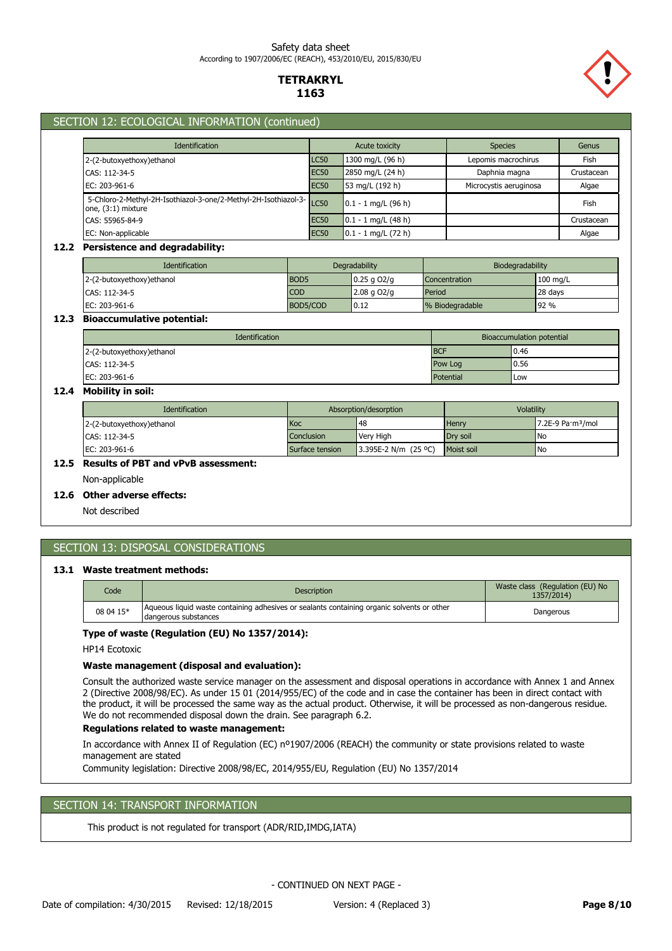### Safety data sheet According to 1907/2006/EC (REACH), 453/2010/EU, 2015/830/EU

## **TETRAKRYL 1163**



### SECTION 12: ECOLOGICAL INFORMATION (continued)

| <b>Identification</b>                                                                 | <b>Acute toxicity</b> |                       | <b>Species</b>         | Genus      |
|---------------------------------------------------------------------------------------|-----------------------|-----------------------|------------------------|------------|
| 2-(2-butoxyethoxy) ethanol                                                            | LC50                  | 1300 mg/L (96 h)      | Lepomis macrochirus    | Fish       |
| CAS: 112-34-5                                                                         | <b>EC50</b>           | 2850 mg/L (24 h)      | Daphnia magna          | Crustacean |
| EC: 203-961-6                                                                         | <b>EC50</b>           | 53 mg/L (192 h)       | Microcystis aeruginosa | Algae      |
| 5-Chloro-2-Methyl-2H-Isothiazol-3-one/2-Methyl-2H-Isothiazol-3-<br>one, (3:1) mixture |                       | $0.1 - 1$ mg/L (96 h) |                        | Fish       |
| CAS: 55965-84-9                                                                       | <b>EC50</b>           | $0.1 - 1$ mg/L (48 h) |                        | Crustacean |
| EC: Non-applicable                                                                    | <b>EC50</b>           | $0.1 - 1$ mg/L (72 h) |                        | Algae      |

#### **12.2 Persistence and degradability:**

| <b>Identification</b>     | Degradability    |                  | Biodegradability     |                    |
|---------------------------|------------------|------------------|----------------------|--------------------|
| 2-(2-butoxyethoxy)ethanol | BOD <sub>5</sub> | $0.25$ g O2/g    | <b>Concentration</b> | $100 \text{ mg/L}$ |
| CAS: 112-34-5             | <b>COD</b>       | $2.08$ g $O2$ /g | Period               | 28 days            |
| EC: 203-961-6             | BOD5/COD         | 0.12             | % Biodegradable      | 92 %               |

### **12.3 Bioaccumulative potential:**

| <b>Identification</b>      | Bioaccumulation potential |       |  |
|----------------------------|---------------------------|-------|--|
| 2-(2-butoxyethoxy) ethanol | <b>BCF</b>                | 10.46 |  |
| CAS: 112-34-5              | Pow Log                   | 0.56  |  |
| EC: 203-961-6              | Potential                 | Low   |  |

## **12.4 Mobility in soil:**

| <b>Identification</b>      | Absorption/desorption |                      | Volatility   |                               |
|----------------------------|-----------------------|----------------------|--------------|-------------------------------|
| 2-(2-butoxyethoxy) ethanol | Koc                   | 48                   | <b>Henry</b> | 7.2E-9 Pa·m <sup>3</sup> /mol |
| CAS: 112-34-5              | <b>Conclusion</b>     | <b>Verv High</b>     | Drv soil     | l No                          |
| EC: 203-961-6              | Surface tension       | 3.395E-2 N/m (25 °C) | Moist soil   | l No                          |

## **12.5 Results of PBT and vPvB assessment:**

Non-applicable

### **12.6 Other adverse effects:**

Not described

## SECTION 13: DISPOSAL CONSIDERATIONS

#### **13.1 Waste treatment methods:**

| Code      | <b>Description</b>                                                                                                 | Waste class (Regulation (EU) No<br>1357/2014) |
|-----------|--------------------------------------------------------------------------------------------------------------------|-----------------------------------------------|
| 08 04 15* | Aqueous liquid waste containing adhesives or sealants containing organic solvents or other<br>dangerous substances | Dangerous                                     |

### **Type of waste (Regulation (EU) No 1357/2014):**

HP14 Ecotoxic

#### **Waste management (disposal and evaluation):**

Consult the authorized waste service manager on the assessment and disposal operations in accordance with Annex 1 and Annex 2 (Directive 2008/98/EC). As under 15 01 (2014/955/EC) of the code and in case the container has been in direct contact with the product, it will be processed the same way as the actual product. Otherwise, it will be processed as non-dangerous residue. We do not recommended disposal down the drain. See paragraph 6.2.

#### **Regulations related to waste management:**

In accordance with Annex II of Regulation (EC) nº1907/2006 (REACH) the community or state provisions related to waste management are stated

Community legislation: Directive 2008/98/EC, 2014/955/EU, Regulation (EU) No 1357/2014

## SECTION 14: TRANSPORT INFORMATION

This product is not regulated for transport (ADR/RID,IMDG,IATA)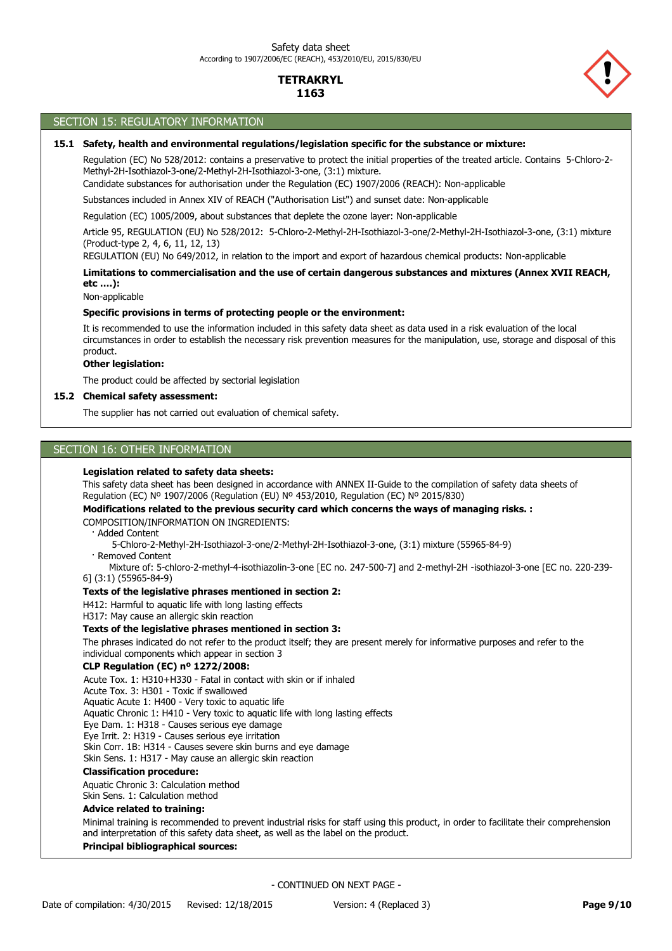

#### SECTION 15: REGULATORY INFORMATION

## **15.1 Safety, health and environmental regulations/legislation specific for the substance or mixture:**

Regulation (EC) No 528/2012: contains a preservative to protect the initial properties of the treated article. Contains 5-Chloro-2- Methyl-2H-Isothiazol-3-one/2-Methyl-2H-Isothiazol-3-one, (3:1) mixture.

Candidate substances for authorisation under the Regulation (EC) 1907/2006 (REACH): Non-applicable

Substances included in Annex XIV of REACH ("Authorisation List") and sunset date: Non-applicable

Regulation (EC) 1005/2009, about substances that deplete the ozone layer: Non-applicable

Article 95, REGULATION (EU) No 528/2012: 5-Chloro-2-Methyl-2H-Isothiazol-3-one/2-Methyl-2H-Isothiazol-3-one, (3:1) mixture (Product-type 2, 4, 6, 11, 12, 13)

REGULATION (EU) No 649/2012, in relation to the import and export of hazardous chemical products: Non-applicable

## **Limitations to commercialisation and the use of certain dangerous substances and mixtures (Annex XVII REACH, etc ….):**

Non-applicable

#### **Specific provisions in terms of protecting people or the environment:**

It is recommended to use the information included in this safety data sheet as data used in a risk evaluation of the local circumstances in order to establish the necessary risk prevention measures for the manipulation, use, storage and disposal of this product.

### **Other legislation:**

The product could be affected by sectorial legislation

#### **15.2 Chemical safety assessment:**

The supplier has not carried out evaluation of chemical safety.

### SECTION 16: OTHER INFORMATION

#### **Legislation related to safety data sheets:**

This safety data sheet has been designed in accordance with ANNEX II-Guide to the compilation of safety data sheets of Regulation (EC) Nº 1907/2006 (Regulation (EU) Nº 453/2010, Regulation (EC) Nº 2015/830)

### COMPOSITION/INFORMATION ON INGREDIENTS: **Modifications related to the previous security card which concerns the ways of managing risks. :**

· Added Content

5-Chloro-2-Methyl-2H-Isothiazol-3-one/2-Methyl-2H-Isothiazol-3-one, (3:1) mixture (55965-84-9)

· Removed Content

 Mixture of: 5-chloro-2-methyl-4-isothiazolin-3-one [EC no. 247-500-7] and 2-methyl-2H -isothiazol-3-one [EC no. 220-239- 6] (3:1) (55965-84-9)

#### **Texts of the legislative phrases mentioned in section 2:**

H412: Harmful to aquatic life with long lasting effects

H317: May cause an allergic skin reaction

#### **Texts of the legislative phrases mentioned in section 3:**

The phrases indicated do not refer to the product itself; they are present merely for informative purposes and refer to the individual components which appear in section 3

## **CLP Regulation (EC) nº 1272/2008:**

Acute Tox. 1: H310+H330 - Fatal in contact with skin or if inhaled

Acute Tox. 3: H301 - Toxic if swallowed Aquatic Acute 1: H400 - Very toxic to aquatic life

Aquatic Chronic 1: H410 - Very toxic to aquatic life with long lasting effects

Eye Dam. 1: H318 - Causes serious eye damage

Eye Irrit. 2: H319 - Causes serious eye irritation

Skin Corr. 1B: H314 - Causes severe skin burns and eye damage

Skin Sens. 1: H317 - May cause an allergic skin reaction

## **Classification procedure:**

Aquatic Chronic 3: Calculation method

Skin Sens. 1: Calculation method

### **Advice related to training:**

Minimal training is recommended to prevent industrial risks for staff using this product, in order to facilitate their comprehension and interpretation of this safety data sheet, as well as the label on the product.

## **Principal bibliographical sources:**